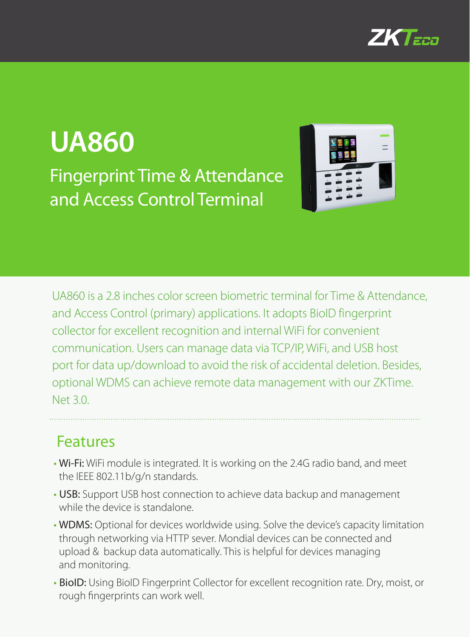

# **UA860** Fingerprint Time & Attendance and Access Control Terminal



UA860 is a 2.8 inches color screen biometric terminal for Time & Attendance, and Access Control (primary) applications. It adopts BioID fingerprint collector for excellent recognition and internal WiFi for convenient communication. Users can manage data via TCP/IP, WiFi, and USB host port for data up/download to avoid the risk of accidental deletion. Besides, optional WDMS can achieve remote data management with our ZKTime. Net 3.0.

#### Features

- Wi-Fi: WiFi module is integrated. It is working on the 2.4G radio band, and meet the IEEE 802.11b/g/n standards.
- USB: Support USB host connection to achieve data backup and management while the device is standalone.
- WDMS: Optional for devices worldwide using. Solve the device's capacity limitation through networking via HTTP sever. Mondial devices can be connected and upload & backup data automatically. This is helpful for devices managing and monitoring.
- BioID: Using BioID Fingerprint Collector for excellent recognition rate. Dry, moist, or rough fingerprints can work well.